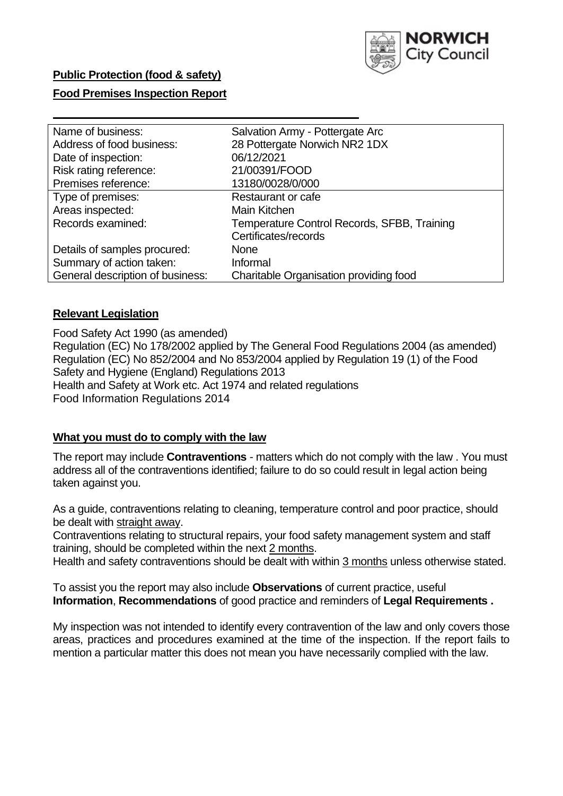

### **Public Protection (food & safety)**

### **Food Premises Inspection Report**

| Name of business:                | Salvation Army - Pottergate Arc             |
|----------------------------------|---------------------------------------------|
| Address of food business:        | 28 Pottergate Norwich NR2 1DX               |
| Date of inspection:              | 06/12/2021                                  |
| Risk rating reference:           | 21/00391/FOOD                               |
| Premises reference:              | 13180/0028/0/000                            |
| Type of premises:                | Restaurant or cafe                          |
| Areas inspected:                 | <b>Main Kitchen</b>                         |
| Records examined:                | Temperature Control Records, SFBB, Training |
|                                  | Certificates/records                        |
| Details of samples procured:     | <b>None</b>                                 |
| Summary of action taken:         | Informal                                    |
| General description of business: | Charitable Organisation providing food      |

### **Relevant Legislation**

 Food Safety Act 1990 (as amended) Regulation (EC) No 178/2002 applied by The General Food Regulations 2004 (as amended) Regulation (EC) No 852/2004 and No 853/2004 applied by Regulation 19 (1) of the Food Safety and Hygiene (England) Regulations 2013 Health and Safety at Work etc. Act 1974 and related regulations Food Information Regulations 2014

### **What you must do to comply with the law**

 The report may include **Contraventions** - matters which do not comply with the law . You must address all of the contraventions identified; failure to do so could result in legal action being taken against you.

 As a guide, contraventions relating to cleaning, temperature control and poor practice, should be dealt with straight away.

 Contraventions relating to structural repairs, your food safety management system and staff training, should be completed within the next 2 months.

Health and safety contraventions should be dealt with within 3 months unless otherwise stated.

 To assist you the report may also include **Observations** of current practice, useful **Information**, **Recommendations** of good practice and reminders of **Legal Requirements .** 

 My inspection was not intended to identify every contravention of the law and only covers those areas, practices and procedures examined at the time of the inspection. If the report fails to mention a particular matter this does not mean you have necessarily complied with the law.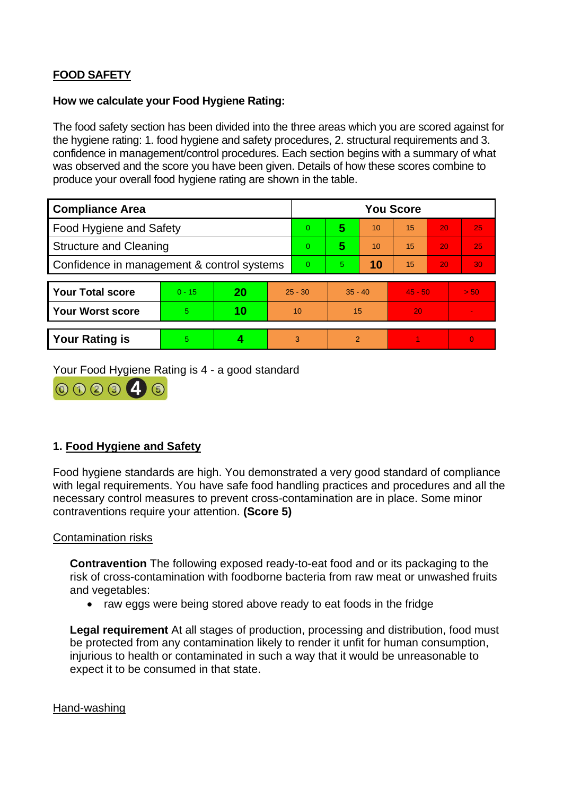# **FOOD SAFETY**

#### **How we calculate your Food Hygiene Rating:**

 The food safety section has been divided into the three areas which you are scored against for the hygiene rating: 1. food hygiene and safety procedures, 2. structural requirements and 3. confidence in management/control procedures. Each section begins with a summary of what was observed and the score you have been given. Details of how these scores combine to produce your overall food hygiene rating are shown in the table.

| <b>Compliance Area</b>                     |          |    |           | <b>You Score</b> |                |    |           |    |          |  |  |
|--------------------------------------------|----------|----|-----------|------------------|----------------|----|-----------|----|----------|--|--|
| Food Hygiene and Safety                    |          |    |           | $\overline{0}$   | 5              | 10 | 15        | 20 | 25       |  |  |
| <b>Structure and Cleaning</b>              |          |    | $\Omega$  | 5                | 10             | 15 | 20        | 25 |          |  |  |
| Confidence in management & control systems |          |    | $\Omega$  | 5                | 10             | 15 | 20        | 30 |          |  |  |
|                                            |          |    |           |                  |                |    |           |    |          |  |  |
| <b>Your Total score</b>                    | $0 - 15$ | 20 | $25 - 30$ |                  | $35 - 40$      |    | $45 - 50$ |    | > 50     |  |  |
| <b>Your Worst score</b>                    | 5        | 10 | 10        |                  | 15             |    | 20        |    |          |  |  |
|                                            |          |    |           |                  |                |    |           |    |          |  |  |
| <b>Your Rating is</b>                      | 5        |    |           | 3                | $\overline{2}$ |    |           |    | $\Omega$ |  |  |

Your Food Hygiene Rating is 4 - a good standard



## **1. Food Hygiene and Safety**

 with legal requirements. You have safe food handling practices and procedures and all the Food hygiene standards are high. You demonstrated a very good standard of compliance necessary control measures to prevent cross-contamination are in place. Some minor contraventions require your attention. **(Score 5)** 

#### Contamination risks

**Contravention** The following exposed ready-to-eat food and or its packaging to the risk of cross-contamination with foodborne bacteria from raw meat or unwashed fruits and vegetables:

• raw eggs were being stored above ready to eat foods in the fridge

 injurious to health or contaminated in such a way that it would be unreasonable to **Legal requirement** At all stages of production, processing and distribution, food must be protected from any contamination likely to render it unfit for human consumption, expect it to be consumed in that state.

#### Hand-washing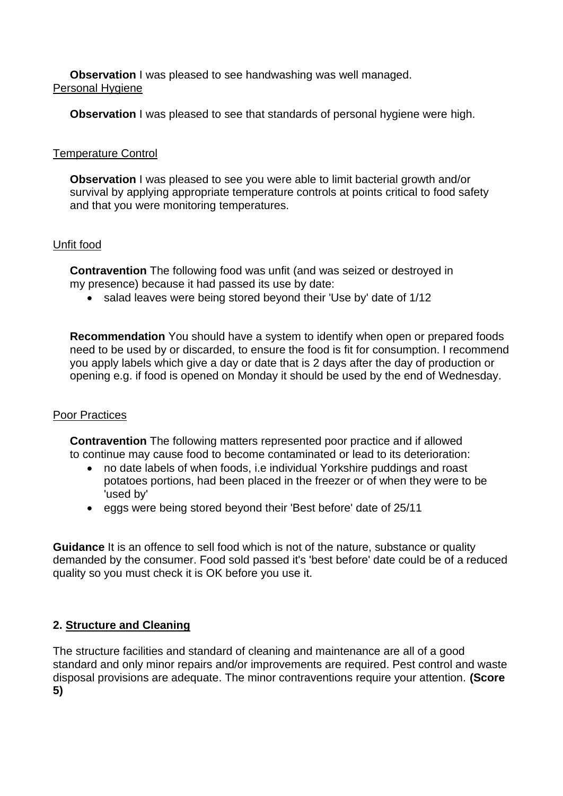**Observation** I was pleased to see handwashing was well managed. Personal Hygiene

**Observation** I was pleased to see that standards of personal hygiene were high.

### Temperature Control

**Observation I** was pleased to see you were able to limit bacterial growth and/or survival by applying appropriate temperature controls at points critical to food safety and that you were monitoring temperatures.

### Unfit food

**Contravention** The following food was unfit (and was seized or destroyed in my presence) because it had passed its use by date:

• salad leaves were being stored beyond their 'Use by' date of 1/12

**Recommendation** You should have a system to identify when open or prepared foods need to be used by or discarded, to ensure the food is fit for consumption. I recommend you apply labels which give a day or date that is 2 days after the day of production or opening e.g. if food is opened on Monday it should be used by the end of Wednesday.

### Poor Practices

 **Contravention** The following matters represented poor practice and if allowed to continue may cause food to become contaminated or lead to its deterioration:

- no date labels of when foods, i.e individual Yorkshire puddings and roast potatoes portions, had been placed in the freezer or of when they were to be 'used by'
- eggs were being stored beyond their 'Best before' date of 25/11

**Guidance** It is an offence to sell food which is not of the nature, substance or quality demanded by the consumer. Food sold passed it's 'best before' date could be of a reduced quality so you must check it is OK before you use it.

### **2. Structure and Cleaning**

 The structure facilities and standard of cleaning and maintenance are all of a good standard and only minor repairs and/or improvements are required. Pest control and waste disposal provisions are adequate. The minor contraventions require your attention. **(Score 5)**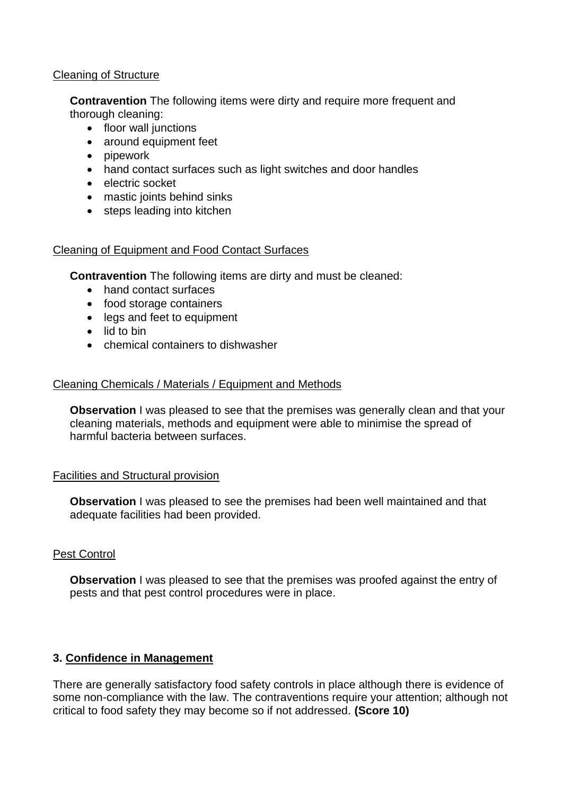### Cleaning of Structure

**Contravention** The following items were dirty and require more frequent and thorough cleaning:

- floor wall junctions
- around equipment feet
- pipework
- hand contact surfaces such as light switches and door handles
- electric socket
- mastic joints behind sinks
- steps leading into kitchen

## Cleaning of Equipment and Food Contact Surfaces

**Contravention** The following items are dirty and must be cleaned:

- hand contact surfaces
- food storage containers
- legs and feet to equipment
- lid to bin
- chemical containers to dishwasher

## Cleaning Chemicals / Materials / Equipment and Methods

 **Observation** I was pleased to see that the premises was generally clean and that your cleaning materials, methods and equipment were able to minimise the spread of harmful bacteria between surfaces.

## Facilities and Structural provision

 **Observation** I was pleased to see the premises had been well maintained and that adequate facilities had been provided.

## Pest Control

**Observation** I was pleased to see that the premises was proofed against the entry of pests and that pest control procedures were in place.

## **3. Confidence in Management**

 There are generally satisfactory food safety controls in place although there is evidence of some non-compliance with the law. The contraventions require your attention; although not critical to food safety they may become so if not addressed. **(Score 10)**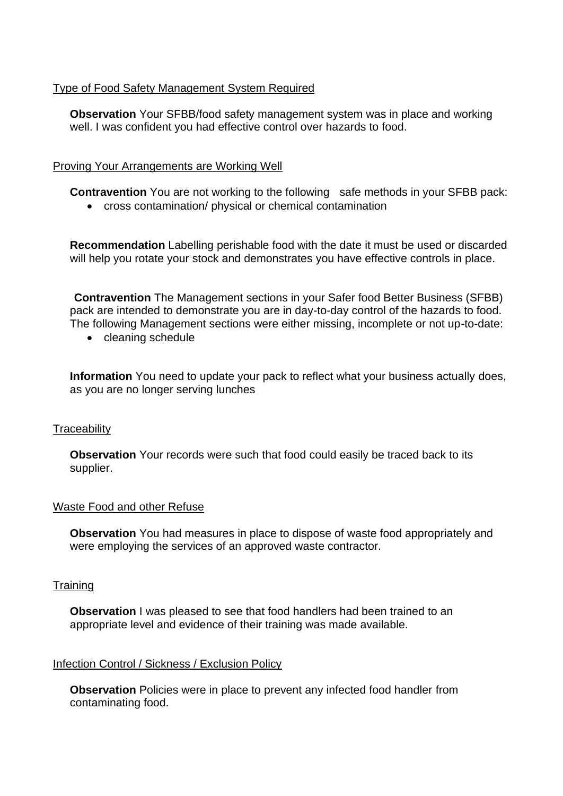### Type of Food Safety Management System Required

**Observation** Your SFBB/food safety management system was in place and working well. I was confident you had effective control over hazards to food.

### Proving Your Arrangements are Working Well

**Contravention** You are not working to the following safe methods in your SFBB pack:

• cross contamination/ physical or chemical contamination

**Recommendation** Labelling perishable food with the date it must be used or discarded will help you rotate your stock and demonstrates you have effective controls in place.

**Contravention** The Management sections in your Safer food Better Business (SFBB) pack are intended to demonstrate you are in day-to-day control of the hazards to food. The following Management sections were either missing, incomplete or not up-to-date:

• cleaning schedule

**Information** You need to update your pack to reflect what your business actually does, as you are no longer serving lunches

### **Traceability**

**Observation** Your records were such that food could easily be traced back to its supplier.

### Waste Food and other Refuse

 **Observation** You had measures in place to dispose of waste food appropriately and were employing the services of an approved waste contractor.

### **Training**

**Observation** I was pleased to see that food handlers had been trained to an appropriate level and evidence of their training was made available.

### Infection Control / Sickness / Exclusion Policy

**Observation** Policies were in place to prevent any infected food handler from contaminating food.